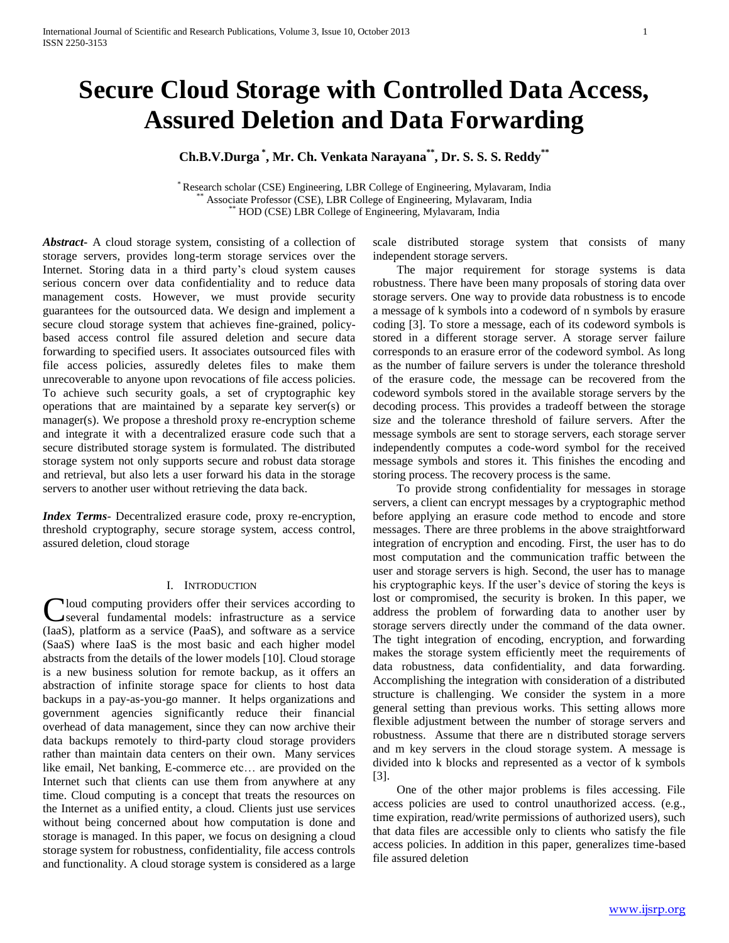# **Secure Cloud Storage with Controlled Data Access, Assured Deletion and Data Forwarding**

# **Ch.B.V.Durga \* , Mr. Ch. Venkata Narayana\*\* , Dr. S. S. S. Reddy\*\***

\* Research scholar (CSE) Engineering, LBR College of Engineering, Mylavaram, India Associate Professor (CSE), LBR College of Engineering, Mylavaram, India \*\* HOD (CSE) LBR College of Engineering, Mylavaram, India

*Abstract***-** A cloud storage system, consisting of a collection of storage servers, provides long-term storage services over the Internet. Storing data in a third party's cloud system causes serious concern over data confidentiality and to reduce data management costs. However, we must provide security guarantees for the outsourced data. We design and implement a secure cloud storage system that achieves fine-grained, policybased access control file assured deletion and secure data forwarding to specified users. It associates outsourced files with file access policies, assuredly deletes files to make them unrecoverable to anyone upon revocations of file access policies. To achieve such security goals, a set of cryptographic key operations that are maintained by a separate key server(s) or manager(s). We propose a threshold proxy re-encryption scheme and integrate it with a decentralized erasure code such that a secure distributed storage system is formulated. The distributed storage system not only supports secure and robust data storage and retrieval, but also lets a user forward his data in the storage servers to another user without retrieving the data back.

*Index Terms*- Decentralized erasure code, proxy re-encryption, threshold cryptography, secure storage system, access control, assured deletion, cloud storage

# I. INTRODUCTION

Cloud computing providers offer their services according to several fundamental models: infrastructure as a service several fundamental models: infrastructure as a service (IaaS), platform as a service (PaaS), and software as a service (SaaS) where IaaS is the most basic and each higher model abstracts from the details of the lower models [10]. Cloud storage is a new business solution for remote backup, as it offers an abstraction of infinite storage space for clients to host data backups in a pay-as-you-go manner. It helps organizations and government agencies significantly reduce their financial overhead of data management, since they can now archive their data backups remotely to third-party cloud storage providers rather than maintain data centers on their own. Many services like email, Net banking, E-commerce etc… are provided on the Internet such that clients can use them from anywhere at any time. Cloud computing is a concept that treats the resources on the Internet as a unified entity, a cloud. Clients just use services without being concerned about how computation is done and storage is managed. In this paper, we focus on designing a cloud storage system for robustness, confidentiality, file access controls and functionality. A cloud storage system is considered as a large

scale distributed storage system that consists of many independent storage servers.

 The major requirement for storage systems is data robustness. There have been many proposals of storing data over storage servers. One way to provide data robustness is to encode a message of k symbols into a codeword of n symbols by erasure coding [3]. To store a message, each of its codeword symbols is stored in a different storage server. A storage server failure corresponds to an erasure error of the codeword symbol. As long as the number of failure servers is under the tolerance threshold of the erasure code, the message can be recovered from the codeword symbols stored in the available storage servers by the decoding process. This provides a tradeoff between the storage size and the tolerance threshold of failure servers. After the message symbols are sent to storage servers, each storage server independently computes a code-word symbol for the received message symbols and stores it. This finishes the encoding and storing process. The recovery process is the same.

 To provide strong confidentiality for messages in storage servers, a client can encrypt messages by a cryptographic method before applying an erasure code method to encode and store messages. There are three problems in the above straightforward integration of encryption and encoding. First, the user has to do most computation and the communication traffic between the user and storage servers is high. Second, the user has to manage his cryptographic keys. If the user's device of storing the keys is lost or compromised, the security is broken. In this paper, we address the problem of forwarding data to another user by storage servers directly under the command of the data owner. The tight integration of encoding, encryption, and forwarding makes the storage system efficiently meet the requirements of data robustness, data confidentiality, and data forwarding. Accomplishing the integration with consideration of a distributed structure is challenging. We consider the system in a more general setting than previous works. This setting allows more flexible adjustment between the number of storage servers and robustness. Assume that there are n distributed storage servers and m key servers in the cloud storage system. A message is divided into k blocks and represented as a vector of k symbols [3].

 One of the other major problems is files accessing. File access policies are used to control unauthorized access. (e.g., time expiration, read/write permissions of authorized users), such that data files are accessible only to clients who satisfy the file access policies. In addition in this paper, generalizes time-based file assured deletion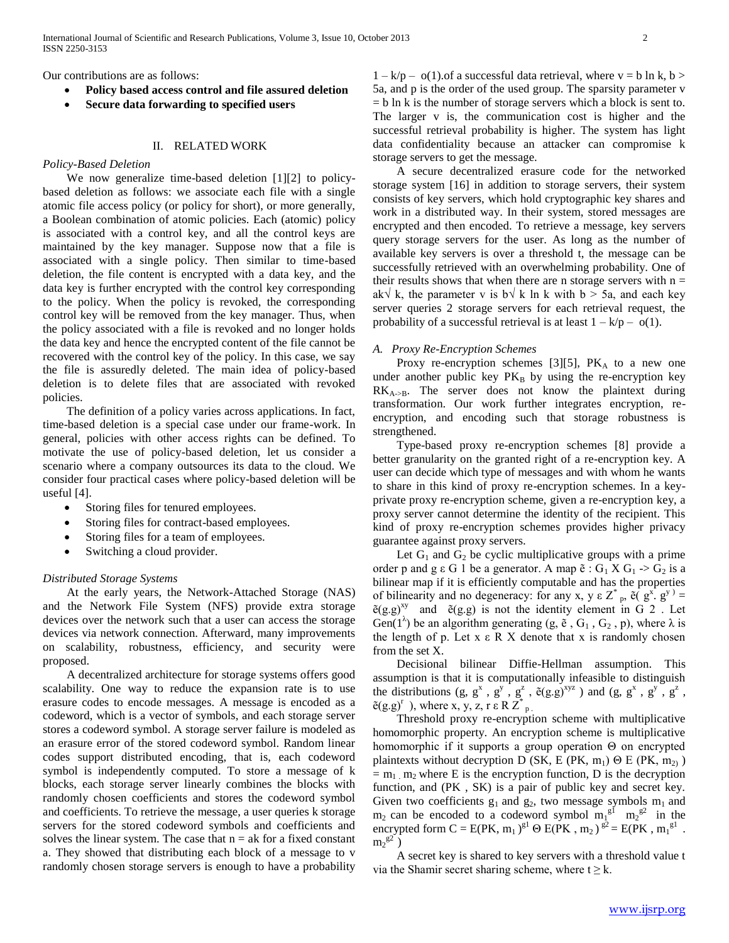Our contributions are as follows:

- **Policy based access control and file assured deletion**
- **Secure data forwarding to specified users**

# II. RELATED WORK

## *Policy-Based Deletion*

 We now generalize time-based deletion [1][2] to policybased deletion as follows: we associate each file with a single atomic file access policy (or policy for short), or more generally, a Boolean combination of atomic policies. Each (atomic) policy is associated with a control key, and all the control keys are maintained by the key manager. Suppose now that a file is associated with a single policy. Then similar to time-based deletion, the file content is encrypted with a data key, and the data key is further encrypted with the control key corresponding to the policy. When the policy is revoked, the corresponding control key will be removed from the key manager. Thus, when the policy associated with a file is revoked and no longer holds the data key and hence the encrypted content of the file cannot be recovered with the control key of the policy. In this case, we say the file is assuredly deleted. The main idea of policy-based deletion is to delete files that are associated with revoked policies.

 The definition of a policy varies across applications. In fact, time-based deletion is a special case under our frame-work. In general, policies with other access rights can be defined. To motivate the use of policy-based deletion, let us consider a scenario where a company outsources its data to the cloud. We consider four practical cases where policy-based deletion will be useful [4].

- Storing files for tenured employees.
- Storing files for contract-based employees.
- Storing files for a team of employees.
- Switching a cloud provider.

# *Distributed Storage Systems*

 At the early years, the Network-Attached Storage (NAS) and the Network File System (NFS) provide extra storage devices over the network such that a user can access the storage devices via network connection. Afterward, many improvements on scalability, robustness, efficiency, and security were proposed.

 A decentralized architecture for storage systems offers good scalability. One way to reduce the expansion rate is to use erasure codes to encode messages. A message is encoded as a codeword, which is a vector of symbols, and each storage server stores a codeword symbol. A storage server failure is modeled as an erasure error of the stored codeword symbol. Random linear codes support distributed encoding, that is, each codeword symbol is independently computed. To store a message of k blocks, each storage server linearly combines the blocks with randomly chosen coefficients and stores the codeword symbol and coefficients. To retrieve the message, a user queries k storage servers for the stored codeword symbols and coefficients and solves the linear system. The case that  $n = ak$  for a fixed constant a. They showed that distributing each block of a message to v randomly chosen storage servers is enough to have a probability

 $1 - k/p - o(1)$  of a successful data retrieval, where  $v = b \ln k$ ,  $b >$ 5a, and p is the order of the used group. The sparsity parameter v  $=$  b ln k is the number of storage servers which a block is sent to. The larger v is, the communication cost is higher and the successful retrieval probability is higher. The system has light data confidentiality because an attacker can compromise k storage servers to get the message.

 A secure decentralized erasure code for the networked storage system [16] in addition to storage servers, their system consists of key servers, which hold cryptographic key shares and work in a distributed way. In their system, stored messages are encrypted and then encoded. To retrieve a message, key servers query storage servers for the user. As long as the number of available key servers is over a threshold t, the message can be successfully retrieved with an overwhelming probability. One of their results shows that when there are n storage servers with  $n =$ ak√ k, the parameter v is b√ k ln k with b > 5a, and each key server queries 2 storage servers for each retrieval request, the probability of a successful retrieval is at least  $1 - k/p - o(1)$ .

## *A. Proxy Re-Encryption Schemes*

Proxy re-encryption schemes [3][5],  $PK_A$  to a new one under another public key  $PK_B$  by using the re-encryption key  $RK_{A\rightarrow B}$ . The server does not know the plaintext during transformation. Our work further integrates encryption, reencryption, and encoding such that storage robustness is strengthened.

 Type-based proxy re-encryption schemes [8] provide a better granularity on the granted right of a re-encryption key. A user can decide which type of messages and with whom he wants to share in this kind of proxy re-encryption schemes. In a keyprivate proxy re-encryption scheme, given a re-encryption key, a proxy server cannot determine the identity of the recipient. This kind of proxy re-encryption schemes provides higher privacy guarantee against proxy servers.

Let  $G_1$  and  $G_2$  be cyclic multiplicative groups with a prime order p and g ε G 1 be a generator. A map  $\tilde{e}$  : G<sub>1</sub> X G<sub>1</sub> -> G<sub>2</sub> is a bilinear map if it is efficiently computable and has the properties of bilinearity and no degeneracy: for any x, y  $\epsilon Z^*$  <sub>p</sub>,  $\tilde{e}(g^x, g^y)$  =  $\tilde{e}(g,g)^{xy}$  and  $\tilde{e}(g,g)$  is not the identity element in G 2. Let Gen( $1^{\lambda}$ ) be an algorithm generating (g,  $\tilde{e}$ , G<sub>1</sub>, G<sub>2</sub>, p), where  $\lambda$  is the length of p. Let  $x \in R$  X denote that  $x$  is randomly chosen from the set X.

 Decisional bilinear Diffie-Hellman assumption. This assumption is that it is computationally infeasible to distinguish the distributions  $(g, g^x, g^y, g^z, \tilde{e}(g,g)^{xyz})$  and  $(g, g^x, g^y, g^z, g^z)$  $\tilde{e}(g.g)^r$ , where x, y, z, r  $\tilde{e}$  R  $\tilde{Z}^*_{p}$ .

 Threshold proxy re-encryption scheme with multiplicative homomorphic property. An encryption scheme is multiplicative homomorphic if it supports a group operation Θ on encrypted plaintexts without decryption D (SK, E (PK, m<sub>1</sub>) Θ E (PK, m<sub>2)</sub>)  $= m_1$  m<sub>2</sub> where E is the encryption function, D is the decryption function, and (PK , SK) is a pair of public key and secret key. Given two coefficients  $g_1$  and  $g_2$ , two message symbols  $m_1$  and  $m_2$  can be encoded to a codeword symbol  $m_1^{g_1}$   $m_2^{g_2}$  in the encrypted form  $C = E(PK, m_1)^{g_1} \Theta E(PK, m_2)^{g_2} = E(PK, m_1^{g_1}$ .  $m_2$ <sup>g2</sup>)

 A secret key is shared to key servers with a threshold value t via the Shamir secret sharing scheme, where  $t \ge k$ .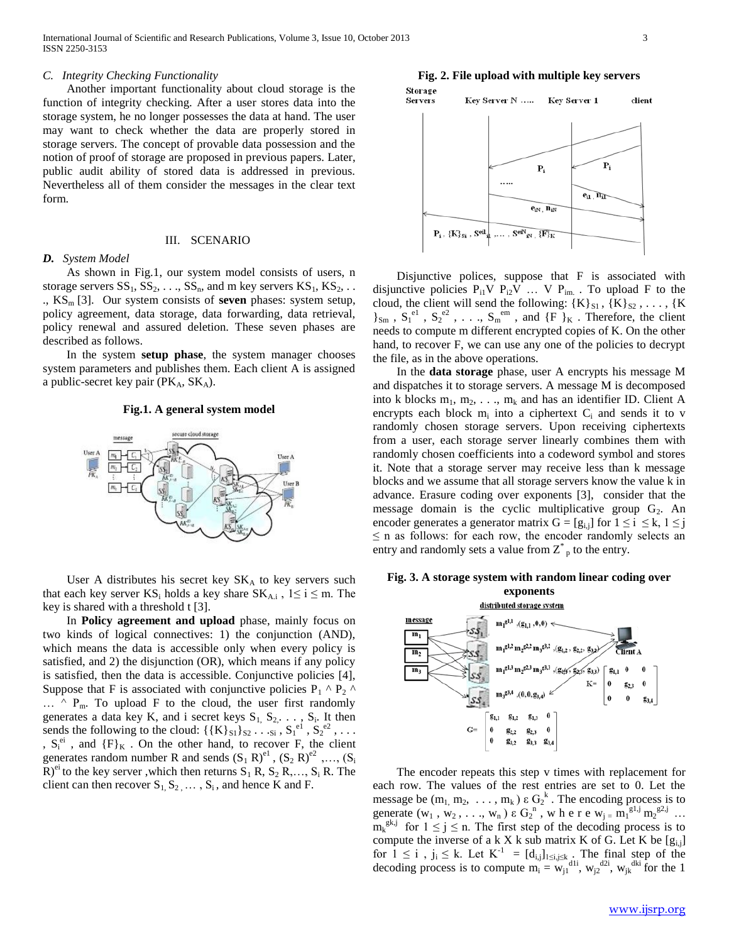#### *C. Integrity Checking Functionality*

 Another important functionality about cloud storage is the function of integrity checking. After a user stores data into the storage system, he no longer possesses the data at hand. The user may want to check whether the data are properly stored in storage servers. The concept of provable data possession and the notion of proof of storage are proposed in previous papers. Later, public audit ability of stored data is addressed in previous. Nevertheless all of them consider the messages in the clear text form.

#### III. SCENARIO

#### *D. System Model*

 As shown in Fig.1, our system model consists of users, n storage servers  $SS_1$ ,  $SS_2$ , ...,  $SS_n$ , and m key servers  $KS_1$ ,  $KS_2$ , ... ., KS<sub>m</sub> [3]. Our system consists of **seven** phases: system setup, policy agreement, data storage, data forwarding, data retrieval, policy renewal and assured deletion. These seven phases are described as follows.

 In the system **setup phase**, the system manager chooses system parameters and publishes them. Each client A is assigned a public-secret key pair ( $PK_A$ ,  $SK_A$ ).

#### **Fig.1. A general system model**



User A distributes his secret key  $SK_A$  to key servers such that each key server  $KS_i$  holds a key share  $SK_{A,i}$ ,  $1 \le i \le m$ . The key is shared with a threshold t [3].

 In **Policy agreement and upload** phase, mainly focus on two kinds of logical connectives: 1) the conjunction (AND), which means the data is accessible only when every policy is satisfied, and 2) the disjunction (OR), which means if any policy is satisfied, then the data is accessible. Conjunctive policies [4], Suppose that F is associated with conjunctive policies  $P_1 \wedge P_2 \wedge$  $\ldots$  ^ P<sub>m</sub>. To upload F to the cloud, the user first randomly generates a data key K, and i secret keys  $S_1, S_2, \ldots, S_i$ . It then sends the following to the cloud:  $\{K\}_{S_1}\}_{S_2}$ ...,  $S_1^{\text{el}}, S_2^{\text{el}}, \ldots$ ,  $S_i^{ei}$ , and  ${F}_K$ . On the other hand, to recover F, the client generates random number R and sends  $(S_1 \ R)^{e_1}$ ,  $(S_2 \ R)^{e_2}$ ,...,  $(S_i \ R)^{e_3}$  $R$ <sup>et</sup> to the key server ,which then returns  $S_1$  R,  $S_2$  R,...,  $S_i$  R. The client can then recover  $S_1, S_2, \ldots, S_i$ , and hence K and F.





 Disjunctive polices, suppose that F is associated with disjunctive policies  $P_{i1}V P_{i2}V ... V P_{im}$ . To upload F to the cloud, the client will send the following:  ${K}_{S1}$ ,  ${K}_{S2}$ , ...,  ${K}$  $\{S_{\text{sm}}\}$ ,  $S_1^{\text{el}}$ ,  $S_2^{\text{el}}$ , ...,  $S_m^{\text{em}}$ , and  $\{F\}_K$ . Therefore, the client needs to compute m different encrypted copies of K. On the other hand, to recover F, we can use any one of the policies to decrypt the file, as in the above operations.

 In the **data storage** phase, user A encrypts his message M and dispatches it to storage servers. A message M is decomposed into k blocks  $m_1, m_2, \ldots, m_k$  and has an identifier ID. Client A encrypts each block  $m_i$  into a ciphertext  $C_i$  and sends it to v randomly chosen storage servers. Upon receiving ciphertexts from a user, each storage server linearly combines them with randomly chosen coefficients into a codeword symbol and stores it. Note that a storage server may receive less than k message blocks and we assume that all storage servers know the value k in advance. Erasure coding over exponents [3], consider that the message domain is the cyclic multiplicative group  $G_2$ . An encoder generates a generator matrix  $G = [g_{i,j}]$  for  $1 \le i \le k, 1 \le j$  $\leq$  n as follows: for each row, the encoder randomly selects an entry and randomly sets a value from  $Z^*$  to the entry.





 The encoder repeats this step v times with replacement for each row. The values of the rest entries are set to 0. Let the message be  $(m_1, m_2, \ldots, m_k) \varepsilon G_2^k$ . The encoding process is to generate  $(w_1, w_2, \ldots, w_n) \in G_2^n$ , where  $w_i = m_1^{\text{gl},j} m_2^{\text{gl},j}$ ...  $m_k^{gk,j}$  for  $1 \le j \le n$ . The first step of the decoding process is to compute the inverse of a k X k sub matrix K of G. Let K be  $[g_{i,j}]$ for  $1 \le i$ ,  $j_i \le k$ . Let  $K^{-1} = [d_{i,j}]_{1 \le i,j \le k}$ . The final step of the decoding process is to compute  $m_i = w_{j1}^{a}$ <sup>dli</sup>,  $w_{j2}^{d2i}$ ,  $w_{jk}^{dki}$  for the 1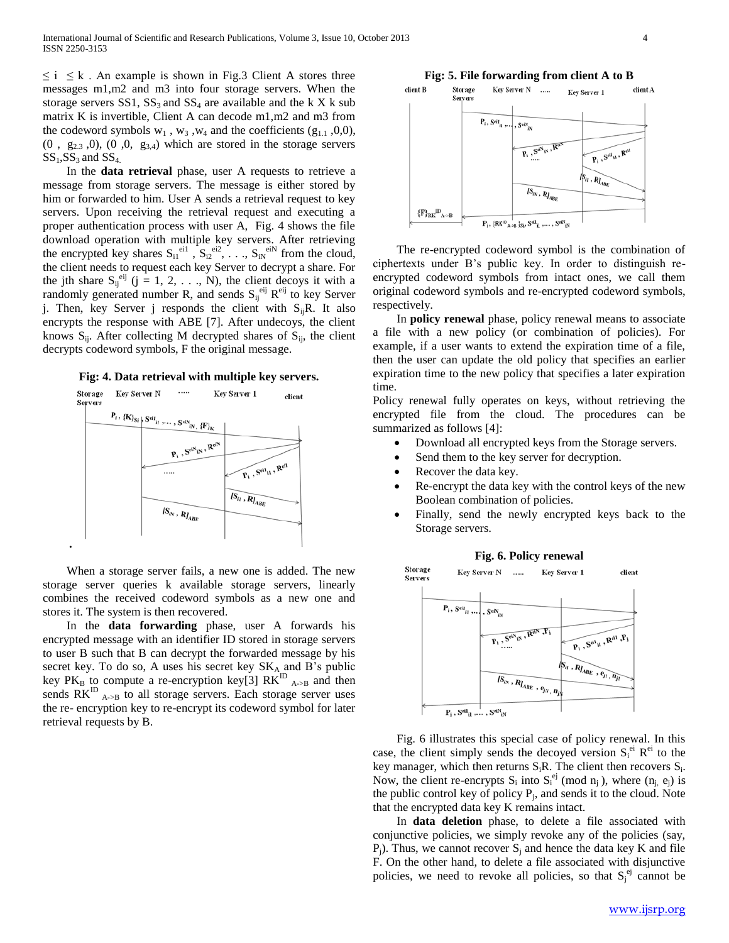$\leq i \leq k$ . An example is shown in Fig.3 Client A stores three messages m1,m2 and m3 into four storage servers. When the storage servers  $SS1$ ,  $SS_3$  and  $SS_4$  are available and the k X k sub matrix K is invertible, Client A can decode m1,m2 and m3 from the codeword symbols  $w_1$ ,  $w_3$ ,  $w_4$  and the coefficients (g<sub>1.1</sub>,0,0),  $(0, g_{2,3}, 0), (0, 0, g_{3,4})$  which are stored in the storage servers  $SS<sub>1</sub>, SS<sub>3</sub>$  and  $SS<sub>4</sub>$ .

 In the **data retrieval** phase, user A requests to retrieve a message from storage servers. The message is either stored by him or forwarded to him. User A sends a retrieval request to key servers. Upon receiving the retrieval request and executing a proper authentication process with user A, Fig. 4 shows the file download operation with multiple key servers. After retrieving the encrypted key shares  $S_{i1}^{eil}$ ,  $S_{i2}^{eil}$ , ...,  $S_{iN}^{eil}$  from the cloud, the client needs to request each key Server to decrypt a share. For the jth share  $S_{ij}^{eij}$  (j = 1, 2, ..., N), the client decoys it with a randomly generated number R, and sends  $S_{ij}^{eij}$  R<sup>eij</sup> to key Server j. Then, key Server j responds the client with  $S_{ij}R$ . It also encrypts the response with ABE [7]. After undecoys, the client knows  $S_{ii}$ . After collecting M decrypted shares of  $S_{ii}$ , the client decrypts codeword symbols, F the original message.

#### **Fig: 4. Data retrieval with multiple key servers.**



**.**

 When a storage server fails, a new one is added. The new storage server queries k available storage servers, linearly combines the received codeword symbols as a new one and stores it. The system is then recovered.

 In the **data forwarding** phase, user A forwards his encrypted message with an identifier ID stored in storage servers to user B such that B can decrypt the forwarded message by his secret key. To do so, A uses his secret key  $SK_A$  and B's public key  $PK_B$  to compute a re-encryption key[3]  $RK^{ID}$  <sub>A->B</sub> and then sends  $RK^{ID}$ <sub>A->B</sub> to all storage servers. Each storage server uses the re- encryption key to re-encrypt its codeword symbol for later retrieval requests by B.

#### **Fig: 5. File forwarding from client A to B** client B Storage Key Server N ..... client A Key Server 1 Servers  $P_i$ , S<sup>eil</sup><sub>il</sub>, ,  $S^{\text{eiN}}_{\text{ex}}$  $\widehat{P_i, S^{di}}_i, R^{di}$  $S_{ii}$ ,  $R_{I_{ABE}}$  $IS_{ix}$ ,  $RI_{AB}$  ${F_{\rm RK}}^{\rm D}$ <sub>A->B</sub>  $P_i$ , {RK<sup>ID</sup><sub>A->B</sub> }<sub>Siz</sub>, S<sup>ei1</sup><sub>il</sub>,..., S<sup>eiN</sup><sub>EN</sub>

 The re-encrypted codeword symbol is the combination of ciphertexts under B's public key. In order to distinguish reencrypted codeword symbols from intact ones, we call them original codeword symbols and re-encrypted codeword symbols, respectively.

 In **policy renewal** phase, policy renewal means to associate a file with a new policy (or combination of policies). For example, if a user wants to extend the expiration time of a file, then the user can update the old policy that specifies an earlier expiration time to the new policy that specifies a later expiration time.

Policy renewal fully operates on keys, without retrieving the encrypted file from the cloud. The procedures can be summarized as follows [4]:

- Download all encrypted keys from the Storage servers.
- Send them to the key server for decryption.
- Recover the data key.
- Re-encrypt the data key with the control keys of the new Boolean combination of policies.
- Finally, send the newly encrypted keys back to the Storage servers.



 Fig. 6 illustrates this special case of policy renewal. In this case, the client simply sends the decoyed version  $S_i^{e^i} R^{ei}$  to the key manager, which then returns  $S_iR$ . The client then recovers  $S_i$ . Now, the client re-encrypts  $S_i$  into  $S_i^{ej}$  (mod  $n_j$ ), where  $(n_j, e_j)$  is the public control key of policy  $P_j$ , and sends it to the cloud. Note that the encrypted data key K remains intact.

 In **data deletion** phase, to delete a file associated with conjunctive policies, we simply revoke any of the policies (say,  $P_i$ ). Thus, we cannot recover  $S_i$  and hence the data key K and file F. On the other hand, to delete a file associated with disjunctive policies, we need to revoke all policies, so that  $S_j^{\epsilon j}$  cannot be